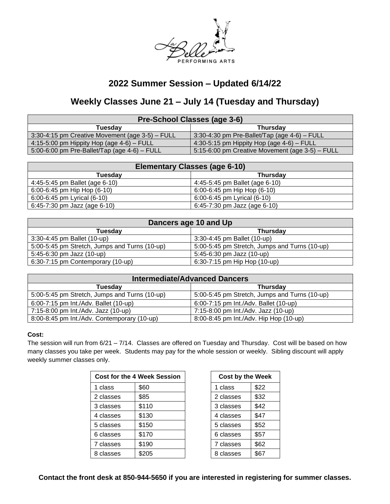

## **2022 Summer Session – Updated 6/14/22**

# **Weekly Classes June 21 – July 14 (Tuesday and Thursday)**

| Pre-School Classes (age 3-6)                    |                                                 |  |  |
|-------------------------------------------------|-------------------------------------------------|--|--|
| Tuesdav                                         | <b>Thursdav</b>                                 |  |  |
| 3:30-4:15 pm Creative Movement (age 3-5) – FULL | $3:30-4:30$ pm Pre-Ballet/Tap (age 4-6) – FULL  |  |  |
| 4:15-5:00 pm Hippity Hop (age $4-6$ ) – FULL    | 4:30-5:15 pm Hippity Hop (age $4-6$ ) – FULL    |  |  |
| 5:00-6:00 pm Pre-Ballet/Tap (age $4-6$ ) - FULL | 5:15-6:00 pm Creative Movement (age 3-5) - FULL |  |  |

| <b>Elementary Classes (age 6-10)</b> |                                   |  |  |
|--------------------------------------|-----------------------------------|--|--|
| Tuesdav                              | <b>Thursdav</b>                   |  |  |
| 4:45-5:45 pm Ballet (age 6-10)       | $4:45-5:45$ pm Ballet (age 6-10)  |  |  |
| 6:00-6:45 pm Hip Hop (6-10)          | $6:00-6:45$ pm Hip Hop $(6-10)$   |  |  |
| 6:00-6:45 pm Lyrical (6-10)          | 6:00-6:45 pm Lyrical (6-10)       |  |  |
| 6:45-7:30 pm Jazz (age 6-10)         | $6:45-7:30$ pm Jazz (age $6-10$ ) |  |  |

| Dancers age 10 and Up                         |                                               |  |  |
|-----------------------------------------------|-----------------------------------------------|--|--|
| Tuesdav                                       | <b>Thursday</b>                               |  |  |
| 3:30-4:45 pm Ballet (10-up)                   | 3:30-4:45 pm Ballet (10-up)                   |  |  |
| 5:00-5:45 pm Stretch, Jumps and Turns (10-up) | 5:00-5:45 pm Stretch, Jumps and Turns (10-up) |  |  |
| 5:45-6:30 pm Jazz (10-up)                     | 5:45-6:30 pm Jazz (10-up)                     |  |  |
| 6:30-7:15 pm Contemporary (10-up)             | 6:30-7:15 pm Hip Hop (10-up)                  |  |  |

| <b>Intermediate/Advanced Dancers</b>          |                                               |  |  |
|-----------------------------------------------|-----------------------------------------------|--|--|
| <b>Tuesdav</b>                                | <b>Thursday</b>                               |  |  |
| 5:00-5:45 pm Stretch, Jumps and Turns (10-up) | 5:00-5:45 pm Stretch, Jumps and Turns (10-up) |  |  |
| 6:00-7:15 pm Int./Adv. Ballet (10-up)         | 6:00-7:15 pm Int./Adv. Ballet (10-up)         |  |  |
| 7:15-8:00 pm Int./Adv. Jazz (10-up)           | 7:15-8:00 pm Int./Adv. Jazz (10-up)           |  |  |
| 8:00-8:45 pm Int./Adv. Contemporary (10-up)   | 8:00-8:45 pm Int./Adv. Hip Hop (10-up)        |  |  |

## **Cost:**

The session will run from 6/21 – 7/14. Classes are offered on Tuesday and Thursday. Cost will be based on how many classes you take per week. Students may pay for the whole session or weekly. Sibling discount will apply weekly summer classes only.

| <b>Cost for the 4 Week Session</b> |       | <b>Cost by the Week</b> |      |
|------------------------------------|-------|-------------------------|------|
| 1 class                            | \$60  | 1 class                 | \$22 |
| 2 classes                          | \$85  | 2 classes               | \$32 |
| 3 classes                          | \$110 | 3 classes               | \$42 |
| 4 classes                          | \$130 | 4 classes               | \$47 |
| 5 classes                          | \$150 | 5 classes               | \$52 |
| 6 classes                          | \$170 | 6 classes               | \$57 |
| 7 classes                          | \$190 | 7 classes               | \$62 |
| 8 classes                          | \$205 | 8 classes               | \$67 |

| <b>Cost by the Week</b> |      |  |  |
|-------------------------|------|--|--|
| 1 class                 | \$22 |  |  |
| 2 classes               | \$32 |  |  |
| 3 classes               | \$42 |  |  |
| 4 classes               | \$47 |  |  |
| 5 classes               | \$52 |  |  |
| 6 classes               | \$57 |  |  |
| 7 classes               | \$62 |  |  |
| 8 classes               | \$67 |  |  |

**Contact the front desk at 850-944-5650 if you are interested in registering for summer classes.**